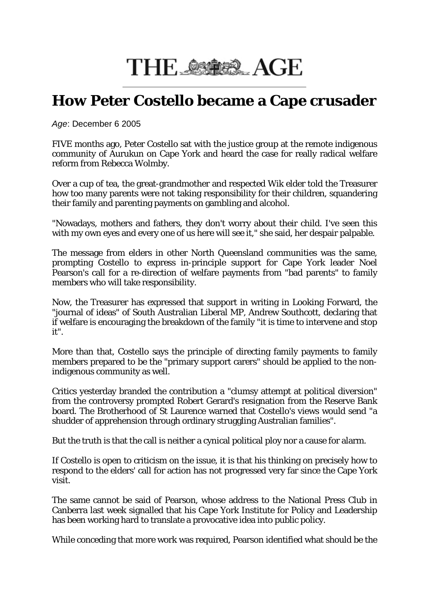## THE STER AGE

## **How Peter Costello became a Cape crusader**

*Age*: December 6 2005

FIVE months ago, Peter Costello sat with the justice group at the remote indigenous community of Aurukun on Cape York and heard the case for really radical welfare reform from Rebecca Wolmby.

Over a cup of tea, the great-grandmother and respected Wik elder told the Treasurer how too many parents were not taking responsibility for their children, squandering their family and parenting payments on gambling and alcohol.

"Nowadays, mothers and fathers, they don't worry about their child. I've seen this with my own eyes and every one of us here will see it," she said, her despair palpable.

The message from elders in other North Queensland communities was the same, prompting Costello to express in-principle support for Cape York leader Noel Pearson's call for a re-direction of welfare payments from "bad parents" to family members who will take responsibility.

Now, the Treasurer has expressed that support in writing in Looking Forward, the "journal of ideas" of South Australian Liberal MP, Andrew Southcott, declaring that if welfare is encouraging the breakdown of the family "it is time to intervene and stop it".

More than that, Costello says the principle of directing family payments to family members prepared to be the "primary support carers" should be applied to the nonindigenous community as well.

Critics yesterday branded the contribution a "clumsy attempt at political diversion" from the controversy prompted Robert Gerard's resignation from the Reserve Bank board. The Brotherhood of St Laurence warned that Costello's views would send "a shudder of apprehension through ordinary struggling Australian families".

But the truth is that the call is neither a cynical political ploy nor a cause for alarm.

If Costello is open to criticism on the issue, it is that his thinking on precisely how to respond to the elders' call for action has not progressed very far since the Cape York visit.

The same cannot be said of Pearson, whose address to the National Press Club in Canberra last week signalled that his Cape York Institute for Policy and Leadership has been working hard to translate a provocative idea into public policy.

While conceding that more work was required, Pearson identified what should be the